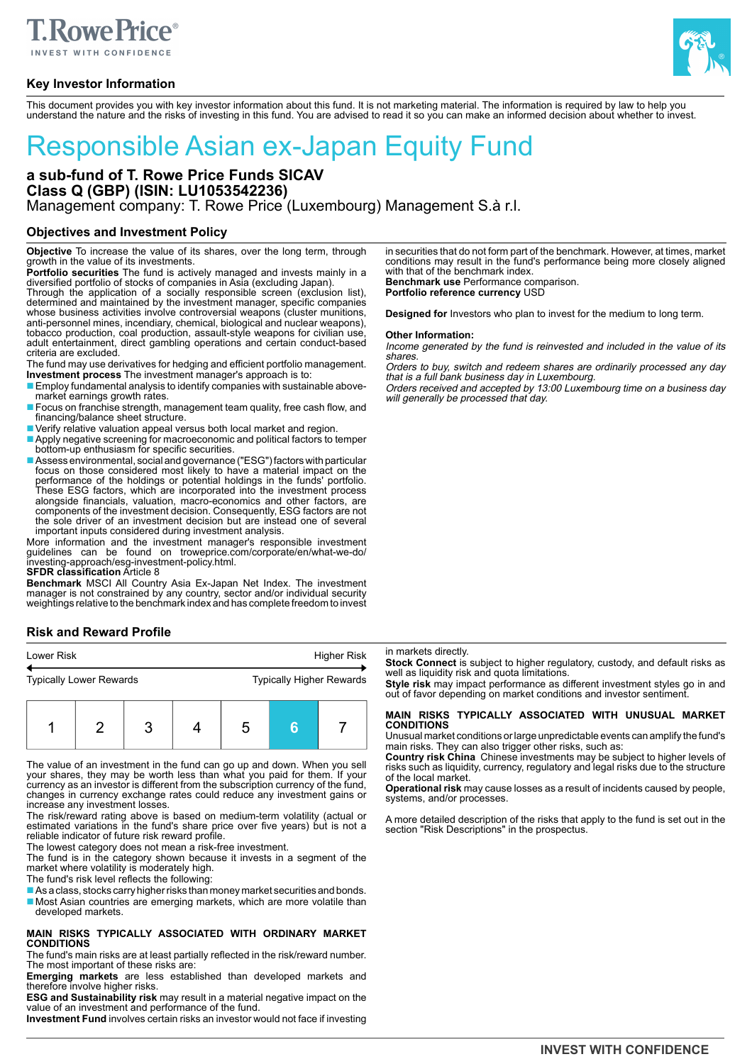

# **Key Investor Information**



This document provides you with key investor information about this fund. It is not marketing material. The information is required by law to help you understand the nature and the risks of investing in this fund. You are advised to read it so you can make an informed decision about whether to invest.

# Responsible Asian ex-Japan Equity Fund

**a sub-fund of T. Rowe Price Funds SICAV Class Q (GBP) (ISIN: LU1053542236)** Management company: T. Rowe Price (Luxembourg) Management S.à r.l.

# **Objectives and Investment Policy**

**Objective** To increase the value of its shares, over the long term, through growth in the value of its investments.

**Portfolio securities** The fund is actively managed and invests mainly in a diversified portfolio of stocks of companies in Asia (excluding Japan).

Through the application of a socially responsible screen (exclusion list), determined and maintained by the investment manager, specific companies whose business activities involve controversial weapons (cluster munitions, anti-personnel mines, incendiary, chemical, biological and nuclear weapons), tobacco production, coal production, assault-style weapons for civilian use, adult entertainment, direct gambling operations and certain conduct-based criteria are excluded.

The fund may use derivatives for hedging and efficient portfolio management. **Investment process** The investment manager's approach is to:

■ Employ fundamental analysis to identify companies with sustainable abovemarket earnings growth rates.

- Focus on franchise strength, management team quality, free cash flow, and financing/balance sheet structure.
- Verify relative valuation appeal versus both local market and region.
- Apply negative screening for macroeconomic and political factors to temper bottom-up enthusiasm for specific securities.
- Assess environmental, social and governance ("ESG") factors with particular focus on those considered most likely to have a material impact on the performance of the holdings or potential holdings in the funds' portfolio. These ESG factors, which are incorporated into the investment process alongside financials, valuation, macro-economics and other factors, are components of the investment decision. Consequently, ESG factors are not the sole driver of an investment decision but are instead one of several important inputs considered during investment analysis.

More information and the investment manager's responsible investment<br>guidelines can be found on troweprice.com/corporate/en/what-we-do/<br>investing-approach/esg-investment-policy.html.<br>**SFDR classification** Article 8

**Benchmark** MSCI All Country Asia Ex-Japan Net Index. The investment manager is not constrained by any country, sector and/or individual security weightings relative to the benchmark index and has complete freedom to invest

# **Risk and Reward Profile**

| Lower Risk                     |  |  | Higher Risk |  |  |                                 |  |
|--------------------------------|--|--|-------------|--|--|---------------------------------|--|
| <b>Typically Lower Rewards</b> |  |  |             |  |  | <b>Typically Higher Rewards</b> |  |
|                                |  |  |             |  |  |                                 |  |

The value of an investment in the fund can go up and down. When you sell your shares, they may be worth less than what you paid for them. If your currency as an investor is different from the subscription currency of the fund, changes in currency exchange rates could reduce any investment gains or increase any investment losses.

The risk/reward rating above is based on medium-term volatility (actual or estimated variations in the fund's share price over five years) but is not a reliable indicator of future risk reward profile.

The lowest category does not mean a risk-free investment.

The fund is in the category shown because it invests in a segment of the market where volatility is moderately high.

The fund's risk level reflects the following:

■ As a class, stocks carry higher risks than money market securities and bonds. ■ Most Asian countries are emerging markets, which are more volatile than developed markets.

#### **MAIN RISKS TYPICALLY ASSOCIATED WITH ORDINARY MARKET CONDITIONS**

The fund's main risks are at least partially reflected in the risk/reward number. The most important of these risks are:

**Emerging markets** are less established than developed markets and therefore involve higher risks.

**ESG and Sustainability risk** may result in a material negative impact on the value of an investment and performance of the fund.

**Investment Fund** involves certain risks an investor would not face if investing

in securities that do not form part of the benchmark. However, at times, market conditions may result in the fund's performance being more closely aligned with that of the benchmark index. **Benchmark use** Performance comparison. **Portfolio reference currency** USD

**Designed for** Investors who plan to invest for the medium to long term.

#### **Other Information:**

Income generated by the fund is reinvested and included in the value of its shares.

Orders to buy, switch and redeem shares are ordinarily processed any day that is a full bank business day in Luxembourg.

Orders received and accepted by 13:00 Luxembourg time on a business day will generally be processed that day

#### in markets directly.

**Stock Connect** is subject to higher regulatory, custody, and default risks as well as liquidity risk and quota limitations.

**Style risk** may impact performance as different investment styles go in and out of favor depending on market conditions and investor sentiment.

# **MAIN RISKS TYPICALLY ASSOCIATED WITH UNUSUAL MARKET CONDITIONS**

Unusual market conditions or large unpredictable events can amplify the fund's main risks. They can also trigger other risks, such as:

**Country risk China** Chinese investments may be subject to higher levels of risks such as liquidity, currency, regulatory and legal risks due to the structure of the local market.

**Operational risk** may cause losses as a result of incidents caused by people, systems, and/or processes.

A more detailed description of the risks that apply to the fund is set out in the section "Risk Descriptions" in the prospectus.